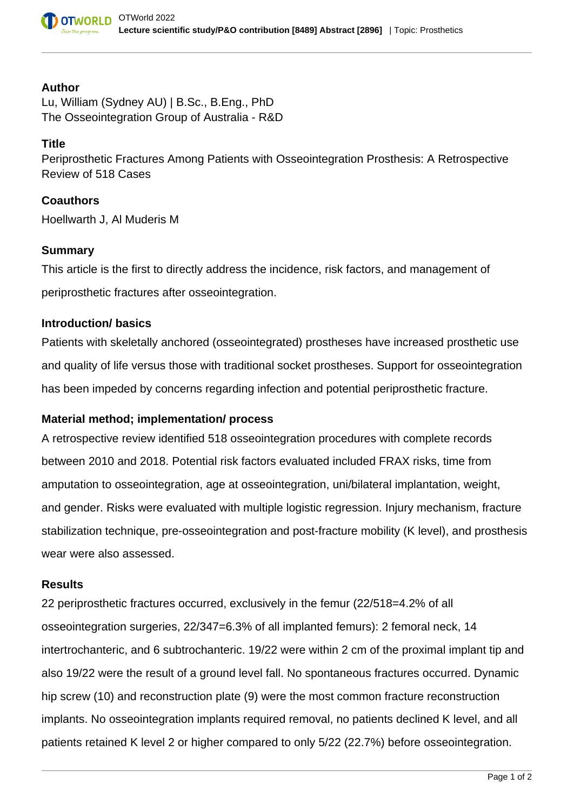### **Author**

Lu, William (Sydney AU) | B.Sc., B.Eng., PhD The Osseointegration Group of Australia - R&D

## **Title**

Periprosthetic Fractures Among Patients with Osseointegration Prosthesis: A Retrospective Review of 518 Cases

## **Coauthors**

Hoellwarth J, Al Muderis M

### **Summary**

This article is the first to directly address the incidence, risk factors, and management of periprosthetic fractures after osseointegration.

### **Introduction/ basics**

Patients with skeletally anchored (osseointegrated) prostheses have increased prosthetic use and quality of life versus those with traditional socket prostheses. Support for osseointegration has been impeded by concerns regarding infection and potential periprosthetic fracture.

# **Material method; implementation/ process**

A retrospective review identified 518 osseointegration procedures with complete records between 2010 and 2018. Potential risk factors evaluated included FRAX risks, time from amputation to osseointegration, age at osseointegration, uni/bilateral implantation, weight, and gender. Risks were evaluated with multiple logistic regression. Injury mechanism, fracture stabilization technique, pre-osseointegration and post-fracture mobility (K level), and prosthesis wear were also assessed.

### **Results**

22 periprosthetic fractures occurred, exclusively in the femur (22/518=4.2% of all osseointegration surgeries, 22/347=6.3% of all implanted femurs): 2 femoral neck, 14 intertrochanteric, and 6 subtrochanteric. 19/22 were within 2 cm of the proximal implant tip and also 19/22 were the result of a ground level fall. No spontaneous fractures occurred. Dynamic hip screw (10) and reconstruction plate (9) were the most common fracture reconstruction implants. No osseointegration implants required removal, no patients declined K level, and all patients retained K level 2 or higher compared to only 5/22 (22.7%) before osseointegration.